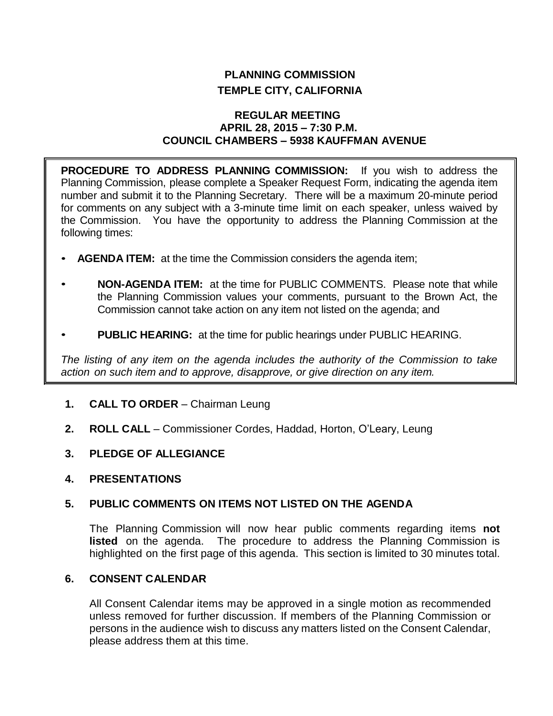# **PLANNING COMMISSION TEMPLE CITY, CALIFORNIA**

## **REGULAR MEETING APRIL 28, 2015 – 7:30 P.M. COUNCIL CHAMBERS – 5938 KAUFFMAN AVENUE**

**PROCEDURE TO ADDRESS PLANNING COMMISSION:** If you wish to address the Planning Commission, please complete a Speaker Request Form, indicating the agenda item number and submit it to the Planning Secretary. There will be a maximum 20-minute period for comments on any subject with a 3-minute time limit on each speaker, unless waived by the Commission. You have the opportunity to address the Planning Commission at the following times:

- **AGENDA ITEM:** at the time the Commission considers the agenda item;
- **NON-AGENDA ITEM:** at the time for PUBLIC COMMENTS. Please note that while the Planning Commission values your comments, pursuant to the Brown Act, the Commission cannot take action on any item not listed on the agenda; and
- **PUBLIC HEARING:** at the time for public hearings under PUBLIC HEARING.

*The listing of any item on the agenda includes the authority of the Commission to take action on such item and to approve, disapprove, or give direction on any item.*

- **1. CALL TO ORDER**  Chairman Leung
- **2. ROLL CALL**  Commissioner Cordes, Haddad, Horton, O'Leary, Leung
- **3. PLEDGE OF ALLEGIANCE**
- **4. PRESENTATIONS**

# **5. PUBLIC COMMENTS ON ITEMS NOT LISTED ON THE AGENDA**

The Planning Commission will now hear public comments regarding items **not listed** on the agenda. The procedure to address the Planning Commission is highlighted on the first page of this agenda. This section is limited to 30 minutes total.

# **6. CONSENT CALENDAR**

All Consent Calendar items may be approved in a single motion as recommended unless removed for further discussion. If members of the Planning Commission or persons in the audience wish to discuss any matters listed on the Consent Calendar, please address them at this time.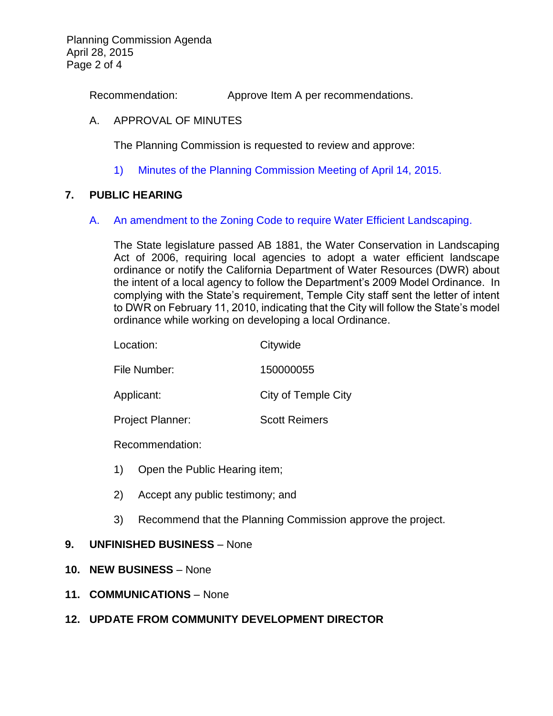Planning Commission Agenda April 28, 2015 Page 2 of 4

Recommendation: Approve Item A per recommendations.

## A. APPROVAL OF MINUTES

The Planning Commission is requested to review and approve:

1) Minutes of the [Planning Commission Meeting](http://ca-templecity.civicplus.com/DocumentCenter/View/2972) of April 14, 2015.

## **7. PUBLIC HEARING**

#### A. [An amendment to the Zoning Code to require Water Efficient Landscaping.](http://ca-templecity.civicplus.com/DocumentCenter/View/2973)

The State legislature passed AB 1881, the Water Conservation in Landscaping Act of 2006, requiring local agencies to adopt a water efficient landscape ordinance or notify the California Department of Water Resources (DWR) about the intent of a local agency to follow the Department's 2009 Model Ordinance. In complying with the State's requirement, Temple City staff sent the letter of intent to DWR on February 11, 2010, indicating that the City will follow the State's model ordinance while working on developing a local Ordinance.

| Location:               | Citywide             |
|-------------------------|----------------------|
| File Number:            | 150000055            |
| Applicant:              | City of Temple City  |
| <b>Project Planner:</b> | <b>Scott Reimers</b> |
| Recommendation:         |                      |

- 1) Open the Public Hearing item;
- 2) Accept any public testimony; and
- 3) Recommend that the Planning Commission approve the project.

# **9. UNFINISHED BUSINESS** – None

- **10. NEW BUSINESS** None
- **11. COMMUNICATIONS** None

# **12. UPDATE FROM COMMUNITY DEVELOPMENT DIRECTOR**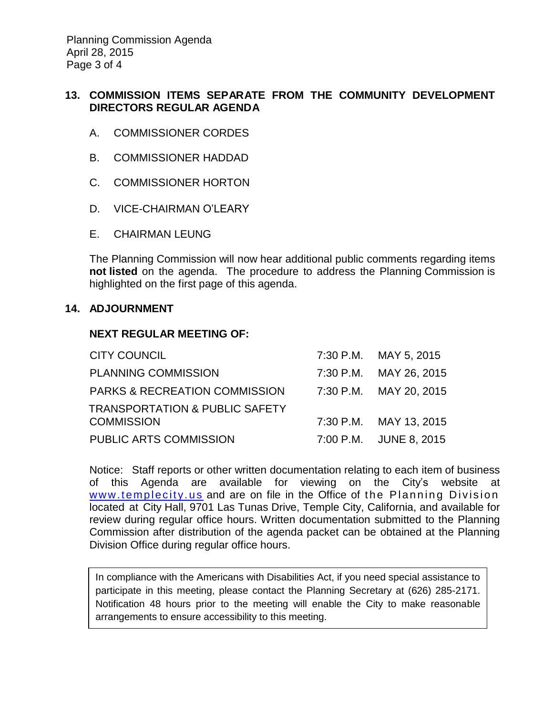Planning Commission Agenda April 28, 2015 Page 3 of 4

# **13. COMMISSION ITEMS SEPARATE FROM THE COMMUNITY DEVELOPMENT DIRECTORS REGULAR AGENDA**

- A. COMMISSIONER CORDES
- B. COMMISSIONER HADDAD
- C. COMMISSIONER HORTON
- D. VICE-CHAIRMAN O'LEARY
- E. CHAIRMAN LEUNG

The Planning Commission will now hear additional public comments regarding items **not listed** on the agenda. The procedure to address the Planning Commission is highlighted on the first page of this agenda.

### **14. ADJOURNMENT**

## **NEXT REGULAR MEETING OF:**

| <b>CITY COUNCIL</b>                       | 7:30 P.M. MAY 5, 2015  |
|-------------------------------------------|------------------------|
| <b>PLANNING COMMISSION</b>                | 7:30 P.M. MAY 26, 2015 |
| <b>PARKS &amp; RECREATION COMMISSION</b>  | 7:30 P.M. MAY 20, 2015 |
| <b>TRANSPORTATION &amp; PUBLIC SAFETY</b> |                        |
| <b>COMMISSION</b>                         | 7:30 P.M. MAY 13, 2015 |
| PUBLIC ARTS COMMISSION                    | 7:00 P.M. JUNE 8, 2015 |

Notice: Staff reports or other written documentation relating to each item of business of this Agenda are available for viewing on the City's website at www.templecity.us and are on file in the Office of the Planning Division located at City Hall, 9701 Las Tunas Drive, Temple City, California, and available for review during regular office hours. Written documentation submitted to the Planning Commission after distribution of the agenda packet can be obtained at the Planning Division Office during regular office hours.

In compliance with the Americans with Disabilities Act, if you need special assistance to participate in this meeting, please contact the Planning Secretary at (626) 285-2171. Notification 48 hours prior to the meeting will enable the City to make reasonable arrangements to ensure accessibility to this meeting.